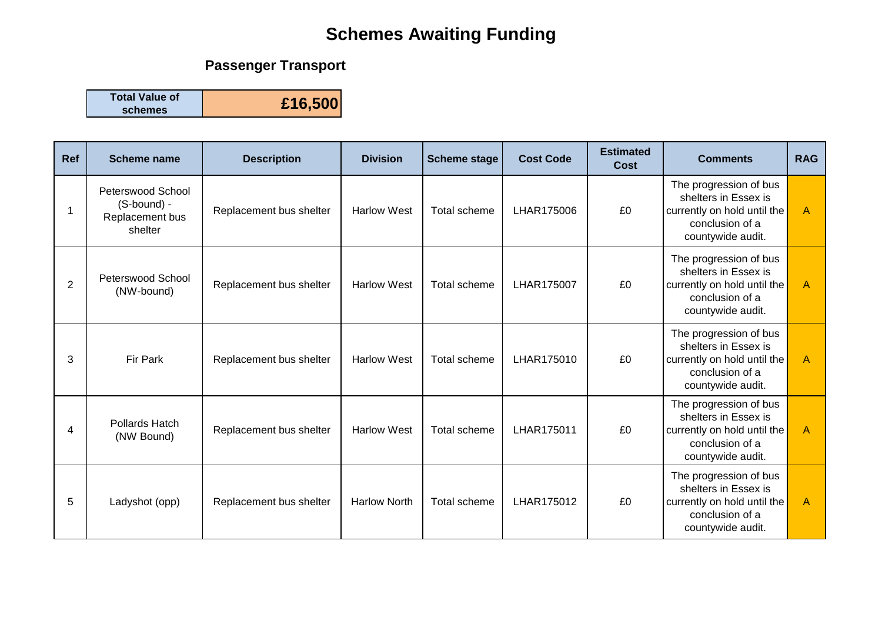# **Schemes Awaiting Funding**

## **Passenger Transport**

**Total Value of schemes £16,500**

| Ref            | <b>Scheme name</b>                                             | <b>Description</b>      | <b>Division</b>     | <b>Scheme stage</b> | <b>Cost Code</b> | <b>Estimated</b><br><b>Cost</b> | <b>Comments</b>                                                                                                       | <b>RAG</b>     |
|----------------|----------------------------------------------------------------|-------------------------|---------------------|---------------------|------------------|---------------------------------|-----------------------------------------------------------------------------------------------------------------------|----------------|
| 1              | Peterswood School<br>(S-bound) -<br>Replacement bus<br>shelter | Replacement bus shelter | <b>Harlow West</b>  | Total scheme        | LHAR175006       | £0                              | The progression of bus<br>shelters in Essex is<br>currently on hold until the<br>conclusion of a<br>countywide audit. | $\overline{A}$ |
| $\overline{2}$ | Peterswood School<br>(NW-bound)                                | Replacement bus shelter | <b>Harlow West</b>  | Total scheme        | LHAR175007       | £0                              | The progression of bus<br>shelters in Essex is<br>currently on hold until the<br>conclusion of a<br>countywide audit. | $\overline{A}$ |
| 3              | Fir Park                                                       | Replacement bus shelter | <b>Harlow West</b>  | Total scheme        | LHAR175010       | £0                              | The progression of bus<br>shelters in Essex is<br>currently on hold until the<br>conclusion of a<br>countywide audit. | $\overline{A}$ |
| 4              | Pollards Hatch<br>(NW Bound)                                   | Replacement bus shelter | <b>Harlow West</b>  | Total scheme        | LHAR175011       | £0                              | The progression of bus<br>shelters in Essex is<br>currently on hold until the<br>conclusion of a<br>countywide audit. | $\mathsf{A}$   |
| 5              | Ladyshot (opp)                                                 | Replacement bus shelter | <b>Harlow North</b> | Total scheme        | LHAR175012       | £0                              | The progression of bus<br>shelters in Essex is<br>currently on hold until the<br>conclusion of a<br>countywide audit. | $\overline{A}$ |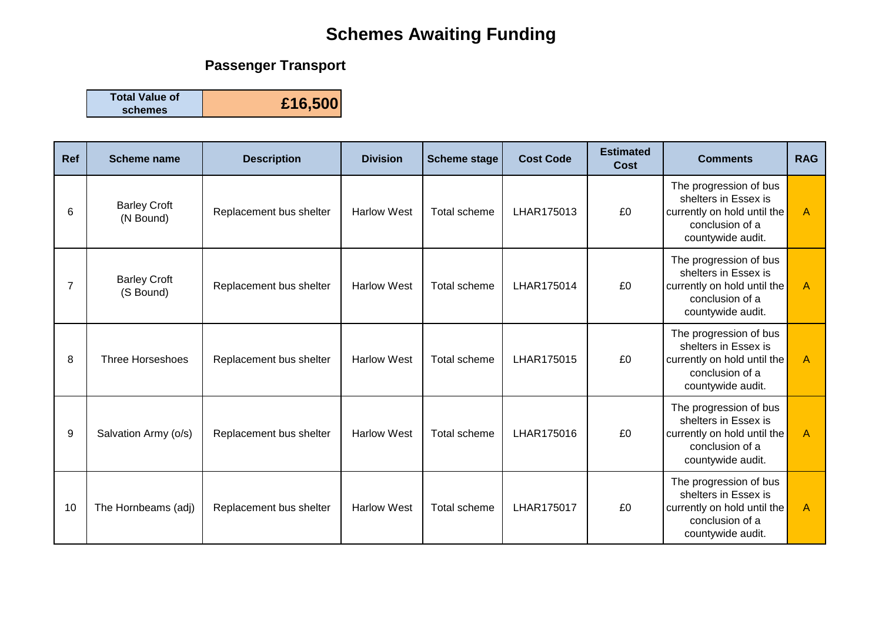# **Schemes Awaiting Funding**

## **Passenger Transport**

**Total Value of schemes £16,500**

| Ref | <b>Scheme name</b>               | <b>Description</b>      | <b>Division</b>    | <b>Scheme stage</b> | <b>Cost Code</b> | <b>Estimated</b><br>Cost | <b>Comments</b>                                                                                                       | <b>RAG</b> |
|-----|----------------------------------|-------------------------|--------------------|---------------------|------------------|--------------------------|-----------------------------------------------------------------------------------------------------------------------|------------|
| 6   | <b>Barley Croft</b><br>(N Bound) | Replacement bus shelter | <b>Harlow West</b> | <b>Total scheme</b> | LHAR175013       | £0                       | The progression of bus<br>shelters in Essex is<br>currently on hold until the<br>conclusion of a<br>countywide audit. | A          |
| 7   | <b>Barley Croft</b><br>(S Bound) | Replacement bus shelter | <b>Harlow West</b> | <b>Total scheme</b> | LHAR175014       | £0                       | The progression of bus<br>shelters in Essex is<br>currently on hold until the<br>conclusion of a<br>countywide audit. | A          |
| 8   | <b>Three Horseshoes</b>          | Replacement bus shelter | <b>Harlow West</b> | <b>Total scheme</b> | LHAR175015       | £0                       | The progression of bus<br>shelters in Essex is<br>currently on hold until the<br>conclusion of a<br>countywide audit. | A          |
| 9   | Salvation Army (o/s)             | Replacement bus shelter | <b>Harlow West</b> | <b>Total scheme</b> | LHAR175016       | £0                       | The progression of bus<br>shelters in Essex is<br>currently on hold until the<br>conclusion of a<br>countywide audit. | A          |
| 10  | The Hornbeams (adj)              | Replacement bus shelter | <b>Harlow West</b> | <b>Total scheme</b> | LHAR175017       | £0                       | The progression of bus<br>shelters in Essex is<br>currently on hold until the<br>conclusion of a<br>countywide audit. | A          |